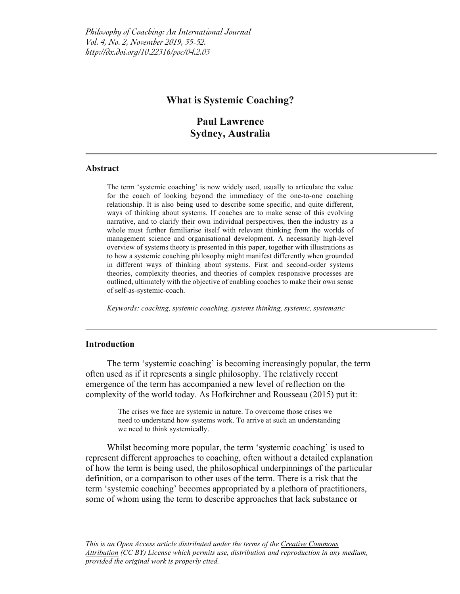# **What is Systemic Coaching?**

**Paul Lawrence Sydney, Australia**

### **Abstract**

The term 'systemic coaching' is now widely used, usually to articulate the value for the coach of looking beyond the immediacy of the one-to-one coaching relationship. It is also being used to describe some specific, and quite different, ways of thinking about systems. If coaches are to make sense of this evolving narrative, and to clarify their own individual perspectives, then the industry as a whole must further familiarise itself with relevant thinking from the worlds of management science and organisational development. A necessarily high-level overview of systems theory is presented in this paper, together with illustrations as to how a systemic coaching philosophy might manifest differently when grounded in different ways of thinking about systems. First and second-order systems theories, complexity theories, and theories of complex responsive processes are outlined, ultimately with the objective of enabling coaches to make their own sense of self-as-systemic-coach.

*Keywords: coaching, systemic coaching, systems thinking, systemic, systematic*

#### **Introduction**

The term 'systemic coaching' is becoming increasingly popular, the term often used as if it represents a single philosophy. The relatively recent emergence of the term has accompanied a new level of reflection on the complexity of the world today. As Hofkirchner and Rousseau (2015) put it:

> The crises we face are systemic in nature. To overcome those crises we need to understand how systems work. To arrive at such an understanding we need to think systemically.

Whilst becoming more popular, the term 'systemic coaching' is used to represent different approaches to coaching, often without a detailed explanation of how the term is being used, the philosophical underpinnings of the particular definition, or a comparison to other uses of the term. There is a risk that the term 'systemic coaching' becomes appropriated by a plethora of practitioners, some of whom using the term to describe approaches that lack substance or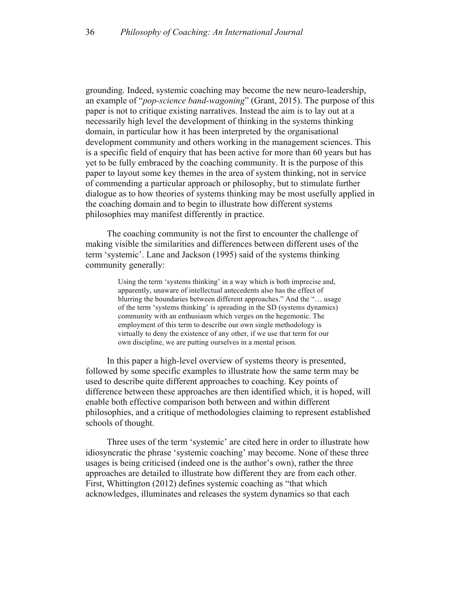grounding. Indeed, systemic coaching may become the new neuro-leadership, an example of "*pop-science band-wagoning*" (Grant, 2015). The purpose of this paper is not to critique existing narratives. Instead the aim is to lay out at a necessarily high level the development of thinking in the systems thinking domain, in particular how it has been interpreted by the organisational development community and others working in the management sciences. This is a specific field of enquiry that has been active for more than 60 years but has yet to be fully embraced by the coaching community. It is the purpose of this paper to layout some key themes in the area of system thinking, not in service of commending a particular approach or philosophy, but to stimulate further dialogue as to how theories of systems thinking may be most usefully applied in the coaching domain and to begin to illustrate how different systems philosophies may manifest differently in practice.

The coaching community is not the first to encounter the challenge of making visible the similarities and differences between different uses of the term 'systemic'. Lane and Jackson (1995) said of the systems thinking community generally:

> Using the term 'systems thinking' in a way which is both imprecise and, apparently, unaware of intellectual antecedents also has the effect of blurring the boundaries between different approaches." And the "… usage of the term 'systems thinking' is spreading in the SD (systems dynamics) community with an enthusiasm which verges on the hegemonic. The employment of this term to describe our own single methodology is virtually to deny the existence of any other, if we use that term for our own discipline, we are putting ourselves in a mental prison.

In this paper a high-level overview of systems theory is presented, followed by some specific examples to illustrate how the same term may be used to describe quite different approaches to coaching. Key points of difference between these approaches are then identified which, it is hoped, will enable both effective comparison both between and within different philosophies, and a critique of methodologies claiming to represent established schools of thought.

Three uses of the term 'systemic' are cited here in order to illustrate how idiosyncratic the phrase 'systemic coaching' may become. None of these three usages is being criticised (indeed one is the author's own), rather the three approaches are detailed to illustrate how different they are from each other. First, Whittington (2012) defines systemic coaching as "that which acknowledges, illuminates and releases the system dynamics so that each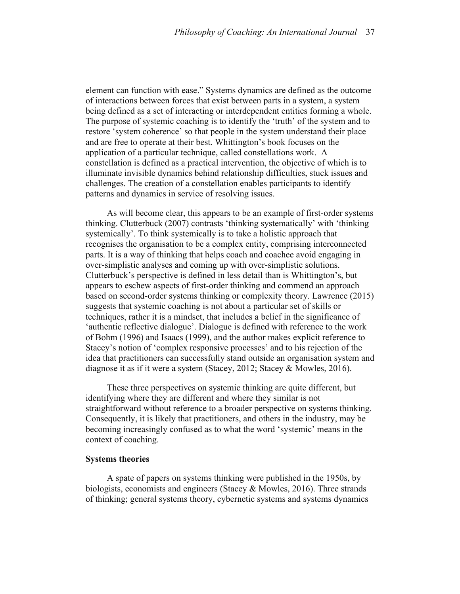element can function with ease." Systems dynamics are defined as the outcome of interactions between forces that exist between parts in a system, a system being defined as a set of interacting or interdependent entities forming a whole. The purpose of systemic coaching is to identify the 'truth' of the system and to restore 'system coherence' so that people in the system understand their place and are free to operate at their best. Whittington's book focuses on the application of a particular technique, called constellations work. A constellation is defined as a practical intervention, the objective of which is to illuminate invisible dynamics behind relationship difficulties, stuck issues and challenges. The creation of a constellation enables participants to identify patterns and dynamics in service of resolving issues.

As will become clear, this appears to be an example of first-order systems thinking. Clutterbuck (2007) contrasts 'thinking systematically' with 'thinking systemically'. To think systemically is to take a holistic approach that recognises the organisation to be a complex entity, comprising interconnected parts. It is a way of thinking that helps coach and coachee avoid engaging in over-simplistic analyses and coming up with over-simplistic solutions. Clutterbuck's perspective is defined in less detail than is Whittington's, but appears to eschew aspects of first-order thinking and commend an approach based on second-order systems thinking or complexity theory. Lawrence (2015) suggests that systemic coaching is not about a particular set of skills or techniques, rather it is a mindset, that includes a belief in the significance of 'authentic reflective dialogue'. Dialogue is defined with reference to the work of Bohm (1996) and Isaacs (1999), and the author makes explicit reference to Stacey's notion of 'complex responsive processes' and to his rejection of the idea that practitioners can successfully stand outside an organisation system and diagnose it as if it were a system (Stacey, 2012; Stacey & Mowles, 2016).

These three perspectives on systemic thinking are quite different, but identifying where they are different and where they similar is not straightforward without reference to a broader perspective on systems thinking. Consequently, it is likely that practitioners, and others in the industry, may be becoming increasingly confused as to what the word 'systemic' means in the context of coaching.

#### **Systems theories**

A spate of papers on systems thinking were published in the 1950s, by biologists, economists and engineers (Stacey & Mowles, 2016). Three strands of thinking; general systems theory, cybernetic systems and systems dynamics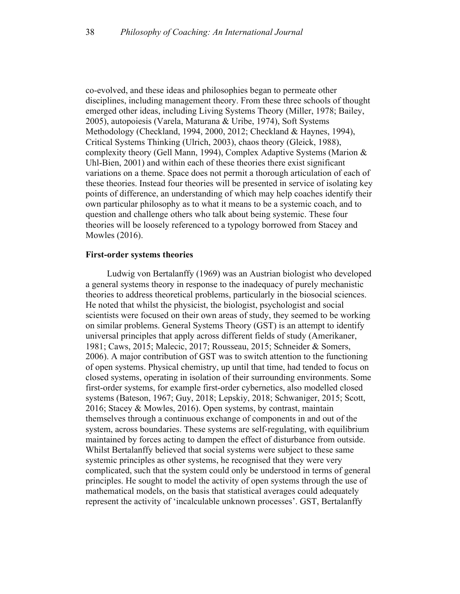co-evolved, and these ideas and philosophies began to permeate other disciplines, including management theory. From these three schools of thought emerged other ideas, including Living Systems Theory (Miller, 1978; Bailey, 2005), autopoiesis (Varela, Maturana & Uribe, 1974), Soft Systems Methodology (Checkland, 1994, 2000, 2012; Checkland & Haynes, 1994), Critical Systems Thinking (Ulrich, 2003), chaos theory (Gleick, 1988), complexity theory (Gell Mann, 1994), Complex Adaptive Systems (Marion & Uhl-Bien, 2001) and within each of these theories there exist significant variations on a theme. Space does not permit a thorough articulation of each of these theories. Instead four theories will be presented in service of isolating key points of difference, an understanding of which may help coaches identify their own particular philosophy as to what it means to be a systemic coach, and to question and challenge others who talk about being systemic. These four theories will be loosely referenced to a typology borrowed from Stacey and Mowles (2016).

#### **First-order systems theories**

Ludwig von Bertalanffy (1969) was an Austrian biologist who developed a general systems theory in response to the inadequacy of purely mechanistic theories to address theoretical problems, particularly in the biosocial sciences. He noted that whilst the physicist, the biologist, psychologist and social scientists were focused on their own areas of study, they seemed to be working on similar problems. General Systems Theory (GST) is an attempt to identify universal principles that apply across different fields of study (Amerikaner, 1981; Caws, 2015; Malecic, 2017; Rousseau, 2015; Schneider & Somers, 2006). A major contribution of GST was to switch attention to the functioning of open systems. Physical chemistry, up until that time, had tended to focus on closed systems, operating in isolation of their surrounding environments. Some first-order systems, for example first-order cybernetics, also modelled closed systems (Bateson, 1967; Guy, 2018; Lepskiy, 2018; Schwaniger, 2015; Scott, 2016; Stacey & Mowles, 2016). Open systems, by contrast, maintain themselves through a continuous exchange of components in and out of the system, across boundaries. These systems are self-regulating, with equilibrium maintained by forces acting to dampen the effect of disturbance from outside. Whilst Bertalanffy believed that social systems were subject to these same systemic principles as other systems, he recognised that they were very complicated, such that the system could only be understood in terms of general principles. He sought to model the activity of open systems through the use of mathematical models, on the basis that statistical averages could adequately represent the activity of 'incalculable unknown processes'. GST, Bertalanffy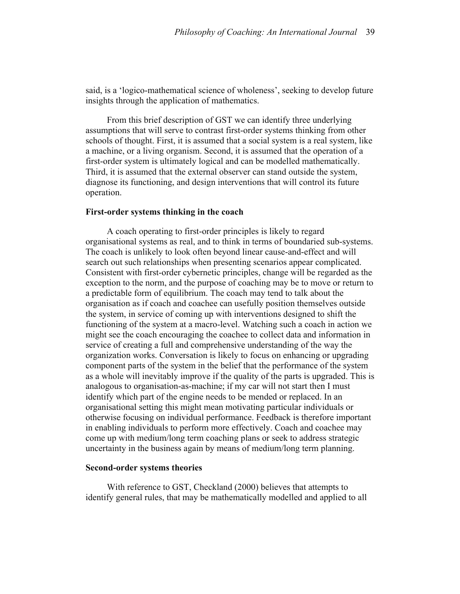said, is a 'logico-mathematical science of wholeness', seeking to develop future insights through the application of mathematics.

From this brief description of GST we can identify three underlying assumptions that will serve to contrast first-order systems thinking from other schools of thought. First, it is assumed that a social system is a real system, like a machine, or a living organism. Second, it is assumed that the operation of a first-order system is ultimately logical and can be modelled mathematically. Third, it is assumed that the external observer can stand outside the system, diagnose its functioning, and design interventions that will control its future operation.

#### **First-order systems thinking in the coach**

A coach operating to first-order principles is likely to regard organisational systems as real, and to think in terms of boundaried sub-systems. The coach is unlikely to look often beyond linear cause-and-effect and will search out such relationships when presenting scenarios appear complicated. Consistent with first-order cybernetic principles, change will be regarded as the exception to the norm, and the purpose of coaching may be to move or return to a predictable form of equilibrium. The coach may tend to talk about the organisation as if coach and coachee can usefully position themselves outside the system, in service of coming up with interventions designed to shift the functioning of the system at a macro-level. Watching such a coach in action we might see the coach encouraging the coachee to collect data and information in service of creating a full and comprehensive understanding of the way the organization works. Conversation is likely to focus on enhancing or upgrading component parts of the system in the belief that the performance of the system as a whole will inevitably improve if the quality of the parts is upgraded. This is analogous to organisation-as-machine; if my car will not start then I must identify which part of the engine needs to be mended or replaced. In an organisational setting this might mean motivating particular individuals or otherwise focusing on individual performance. Feedback is therefore important in enabling individuals to perform more effectively. Coach and coachee may come up with medium/long term coaching plans or seek to address strategic uncertainty in the business again by means of medium/long term planning.

# **Second-order systems theories**

With reference to GST, Checkland (2000) believes that attempts to identify general rules, that may be mathematically modelled and applied to all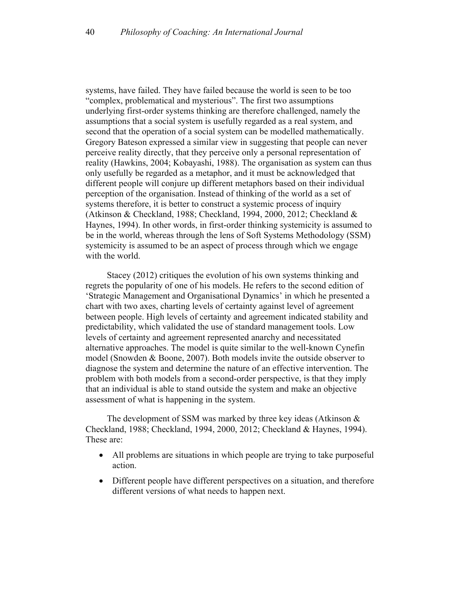systems, have failed. They have failed because the world is seen to be too "complex, problematical and mysterious". The first two assumptions underlying first-order systems thinking are therefore challenged, namely the assumptions that a social system is usefully regarded as a real system, and second that the operation of a social system can be modelled mathematically. Gregory Bateson expressed a similar view in suggesting that people can never perceive reality directly, that they perceive only a personal representation of reality (Hawkins, 2004; Kobayashi, 1988). The organisation as system can thus only usefully be regarded as a metaphor, and it must be acknowledged that different people will conjure up different metaphors based on their individual perception of the organisation. Instead of thinking of the world as a set of systems therefore, it is better to construct a systemic process of inquiry (Atkinson & Checkland, 1988; Checkland, 1994, 2000, 2012; Checkland & Haynes, 1994). In other words, in first-order thinking systemicity is assumed to be in the world, whereas through the lens of Soft Systems Methodology (SSM) systemicity is assumed to be an aspect of process through which we engage with the world.

Stacey (2012) critiques the evolution of his own systems thinking and regrets the popularity of one of his models. He refers to the second edition of 'Strategic Management and Organisational Dynamics' in which he presented a chart with two axes, charting levels of certainty against level of agreement between people. High levels of certainty and agreement indicated stability and predictability, which validated the use of standard management tools. Low levels of certainty and agreement represented anarchy and necessitated alternative approaches. The model is quite similar to the well-known Cynefin model (Snowden & Boone, 2007). Both models invite the outside observer to diagnose the system and determine the nature of an effective intervention. The problem with both models from a second-order perspective, is that they imply that an individual is able to stand outside the system and make an objective assessment of what is happening in the system.

The development of SSM was marked by three key ideas (Atkinson & Checkland, 1988; Checkland, 1994, 2000, 2012; Checkland & Haynes, 1994). These are:

- All problems are situations in which people are trying to take purposeful action.
- Different people have different perspectives on a situation, and therefore different versions of what needs to happen next.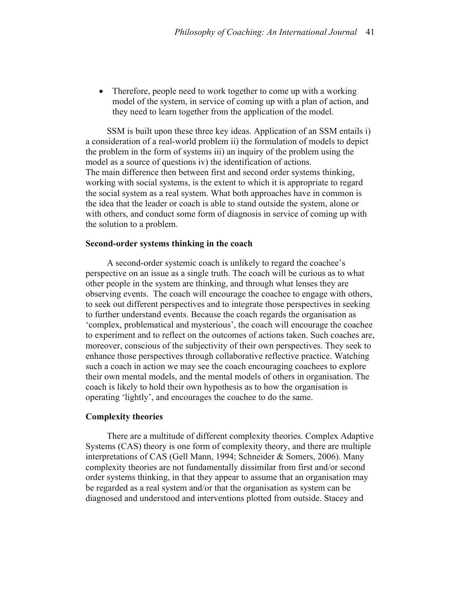• Therefore, people need to work together to come up with a working model of the system, in service of coming up with a plan of action, and they need to learn together from the application of the model.

SSM is built upon these three key ideas. Application of an SSM entails i) a consideration of a real-world problem ii) the formulation of models to depict the problem in the form of systems iii) an inquiry of the problem using the model as a source of questions iv) the identification of actions. The main difference then between first and second order systems thinking, working with social systems, is the extent to which it is appropriate to regard the social system as a real system. What both approaches have in common is the idea that the leader or coach is able to stand outside the system, alone or with others, and conduct some form of diagnosis in service of coming up with the solution to a problem.

### **Second-order systems thinking in the coach**

A second-order systemic coach is unlikely to regard the coachee's perspective on an issue as a single truth. The coach will be curious as to what other people in the system are thinking, and through what lenses they are observing events. The coach will encourage the coachee to engage with others, to seek out different perspectives and to integrate those perspectives in seeking to further understand events. Because the coach regards the organisation as 'complex, problematical and mysterious', the coach will encourage the coachee to experiment and to reflect on the outcomes of actions taken. Such coaches are, moreover, conscious of the subjectivity of their own perspectives. They seek to enhance those perspectives through collaborative reflective practice. Watching such a coach in action we may see the coach encouraging coachees to explore their own mental models, and the mental models of others in organisation. The coach is likely to hold their own hypothesis as to how the organisation is operating 'lightly', and encourages the coachee to do the same.

### **Complexity theories**

There are a multitude of different complexity theories. Complex Adaptive Systems (CAS) theory is one form of complexity theory, and there are multiple interpretations of CAS (Gell Mann, 1994; Schneider & Somers, 2006). Many complexity theories are not fundamentally dissimilar from first and/or second order systems thinking, in that they appear to assume that an organisation may be regarded as a real system and/or that the organisation as system can be diagnosed and understood and interventions plotted from outside. Stacey and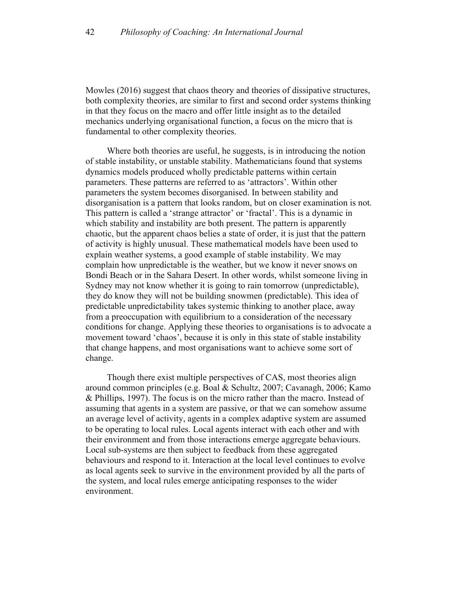Mowles (2016) suggest that chaos theory and theories of dissipative structures, both complexity theories, are similar to first and second order systems thinking in that they focus on the macro and offer little insight as to the detailed mechanics underlying organisational function, a focus on the micro that is fundamental to other complexity theories.

Where both theories are useful, he suggests, is in introducing the notion of stable instability, or unstable stability. Mathematicians found that systems dynamics models produced wholly predictable patterns within certain parameters. These patterns are referred to as 'attractors'. Within other parameters the system becomes disorganised. In between stability and disorganisation is a pattern that looks random, but on closer examination is not. This pattern is called a 'strange attractor' or 'fractal'. This is a dynamic in which stability and instability are both present. The pattern is apparently chaotic, but the apparent chaos belies a state of order, it is just that the pattern of activity is highly unusual. These mathematical models have been used to explain weather systems, a good example of stable instability. We may complain how unpredictable is the weather, but we know it never snows on Bondi Beach or in the Sahara Desert. In other words, whilst someone living in Sydney may not know whether it is going to rain tomorrow (unpredictable), they do know they will not be building snowmen (predictable). This idea of predictable unpredictability takes systemic thinking to another place, away from a preoccupation with equilibrium to a consideration of the necessary conditions for change. Applying these theories to organisations is to advocate a movement toward 'chaos', because it is only in this state of stable instability that change happens, and most organisations want to achieve some sort of change.

Though there exist multiple perspectives of CAS, most theories align around common principles (e.g. Boal & Schultz, 2007; Cavanagh, 2006; Kamo & Phillips, 1997). The focus is on the micro rather than the macro. Instead of assuming that agents in a system are passive, or that we can somehow assume an average level of activity, agents in a complex adaptive system are assumed to be operating to local rules. Local agents interact with each other and with their environment and from those interactions emerge aggregate behaviours. Local sub-systems are then subject to feedback from these aggregated behaviours and respond to it. Interaction at the local level continues to evolve as local agents seek to survive in the environment provided by all the parts of the system, and local rules emerge anticipating responses to the wider environment.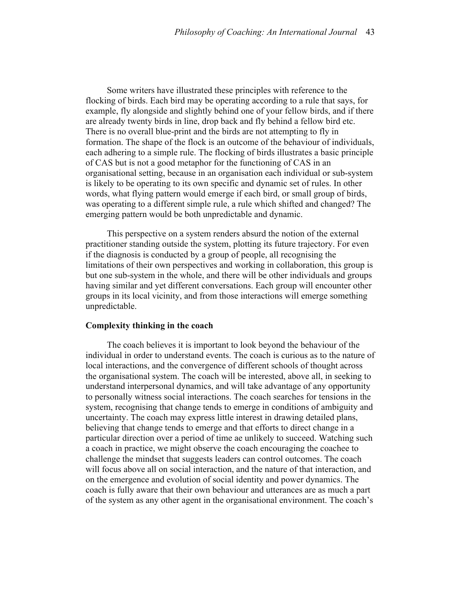Some writers have illustrated these principles with reference to the flocking of birds. Each bird may be operating according to a rule that says, for example, fly alongside and slightly behind one of your fellow birds, and if there are already twenty birds in line, drop back and fly behind a fellow bird etc. There is no overall blue-print and the birds are not attempting to fly in formation. The shape of the flock is an outcome of the behaviour of individuals, each adhering to a simple rule. The flocking of birds illustrates a basic principle of CAS but is not a good metaphor for the functioning of CAS in an organisational setting, because in an organisation each individual or sub-system is likely to be operating to its own specific and dynamic set of rules. In other words, what flying pattern would emerge if each bird, or small group of birds, was operating to a different simple rule, a rule which shifted and changed? The emerging pattern would be both unpredictable and dynamic.

This perspective on a system renders absurd the notion of the external practitioner standing outside the system, plotting its future trajectory. For even if the diagnosis is conducted by a group of people, all recognising the limitations of their own perspectives and working in collaboration, this group is but one sub-system in the whole, and there will be other individuals and groups having similar and yet different conversations. Each group will encounter other groups in its local vicinity, and from those interactions will emerge something unpredictable.

### **Complexity thinking in the coach**

The coach believes it is important to look beyond the behaviour of the individual in order to understand events. The coach is curious as to the nature of local interactions, and the convergence of different schools of thought across the organisational system. The coach will be interested, above all, in seeking to understand interpersonal dynamics, and will take advantage of any opportunity to personally witness social interactions. The coach searches for tensions in the system, recognising that change tends to emerge in conditions of ambiguity and uncertainty. The coach may express little interest in drawing detailed plans, believing that change tends to emerge and that efforts to direct change in a particular direction over a period of time ae unlikely to succeed. Watching such a coach in practice, we might observe the coach encouraging the coachee to challenge the mindset that suggests leaders can control outcomes. The coach will focus above all on social interaction, and the nature of that interaction, and on the emergence and evolution of social identity and power dynamics. The coach is fully aware that their own behaviour and utterances are as much a part of the system as any other agent in the organisational environment. The coach's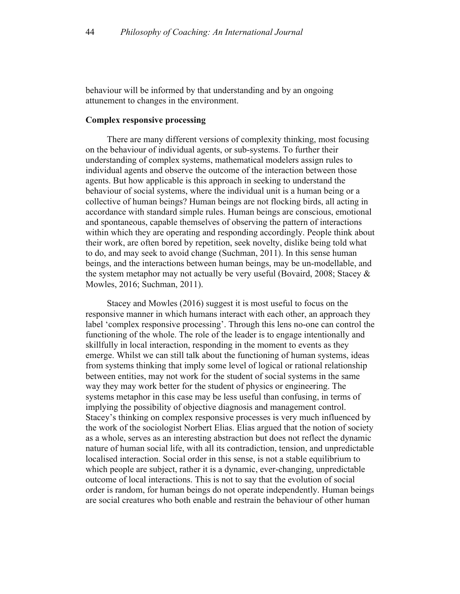behaviour will be informed by that understanding and by an ongoing attunement to changes in the environment.

# **Complex responsive processing**

There are many different versions of complexity thinking, most focusing on the behaviour of individual agents, or sub-systems. To further their understanding of complex systems, mathematical modelers assign rules to individual agents and observe the outcome of the interaction between those agents. But how applicable is this approach in seeking to understand the behaviour of social systems, where the individual unit is a human being or a collective of human beings? Human beings are not flocking birds, all acting in accordance with standard simple rules. Human beings are conscious, emotional and spontaneous, capable themselves of observing the pattern of interactions within which they are operating and responding accordingly. People think about their work, are often bored by repetition, seek novelty, dislike being told what to do, and may seek to avoid change (Suchman, 2011). In this sense human beings, and the interactions between human beings, may be un-modellable, and the system metaphor may not actually be very useful (Bovaird, 2008; Stacey & Mowles, 2016; Suchman, 2011).

Stacey and Mowles (2016) suggest it is most useful to focus on the responsive manner in which humans interact with each other, an approach they label 'complex responsive processing'. Through this lens no-one can control the functioning of the whole. The role of the leader is to engage intentionally and skillfully in local interaction, responding in the moment to events as they emerge. Whilst we can still talk about the functioning of human systems, ideas from systems thinking that imply some level of logical or rational relationship between entities, may not work for the student of social systems in the same way they may work better for the student of physics or engineering. The systems metaphor in this case may be less useful than confusing, in terms of implying the possibility of objective diagnosis and management control. Stacey's thinking on complex responsive processes is very much influenced by the work of the sociologist Norbert Elias. Elias argued that the notion of society as a whole, serves as an interesting abstraction but does not reflect the dynamic nature of human social life, with all its contradiction, tension, and unpredictable localised interaction. Social order in this sense, is not a stable equilibrium to which people are subject, rather it is a dynamic, ever-changing, unpredictable outcome of local interactions. This is not to say that the evolution of social order is random, for human beings do not operate independently. Human beings are social creatures who both enable and restrain the behaviour of other human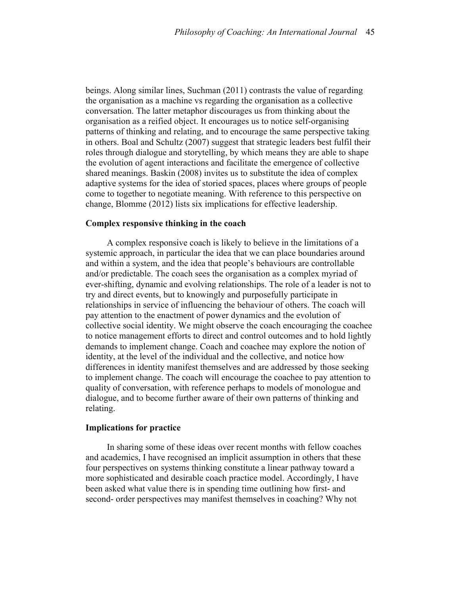beings. Along similar lines, Suchman (2011) contrasts the value of regarding the organisation as a machine vs regarding the organisation as a collective conversation. The latter metaphor discourages us from thinking about the organisation as a reified object. It encourages us to notice self-organising patterns of thinking and relating, and to encourage the same perspective taking in others. Boal and Schultz (2007) suggest that strategic leaders best fulfil their roles through dialogue and storytelling, by which means they are able to shape the evolution of agent interactions and facilitate the emergence of collective shared meanings. Baskin (2008) invites us to substitute the idea of complex adaptive systems for the idea of storied spaces, places where groups of people come to together to negotiate meaning. With reference to this perspective on change, Blomme (2012) lists six implications for effective leadership.

### **Complex responsive thinking in the coach**

A complex responsive coach is likely to believe in the limitations of a systemic approach, in particular the idea that we can place boundaries around and within a system, and the idea that people's behaviours are controllable and/or predictable. The coach sees the organisation as a complex myriad of ever-shifting, dynamic and evolving relationships. The role of a leader is not to try and direct events, but to knowingly and purposefully participate in relationships in service of influencing the behaviour of others. The coach will pay attention to the enactment of power dynamics and the evolution of collective social identity. We might observe the coach encouraging the coachee to notice management efforts to direct and control outcomes and to hold lightly demands to implement change. Coach and coachee may explore the notion of identity, at the level of the individual and the collective, and notice how differences in identity manifest themselves and are addressed by those seeking to implement change. The coach will encourage the coachee to pay attention to quality of conversation, with reference perhaps to models of monologue and dialogue, and to become further aware of their own patterns of thinking and relating.

#### **Implications for practice**

In sharing some of these ideas over recent months with fellow coaches and academics, I have recognised an implicit assumption in others that these four perspectives on systems thinking constitute a linear pathway toward a more sophisticated and desirable coach practice model. Accordingly, I have been asked what value there is in spending time outlining how first- and second- order perspectives may manifest themselves in coaching? Why not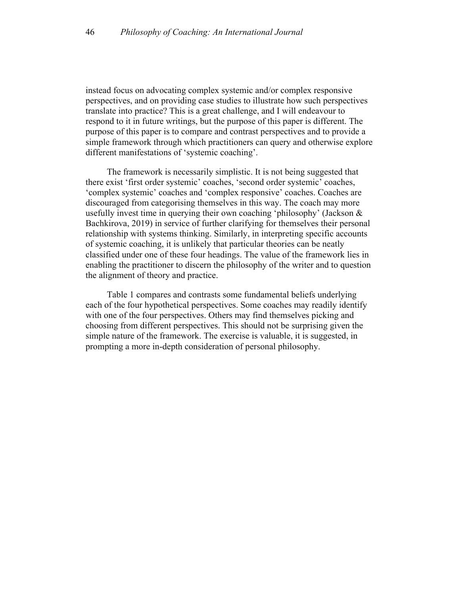instead focus on advocating complex systemic and/or complex responsive perspectives, and on providing case studies to illustrate how such perspectives translate into practice? This is a great challenge, and I will endeavour to respond to it in future writings, but the purpose of this paper is different. The purpose of this paper is to compare and contrast perspectives and to provide a simple framework through which practitioners can query and otherwise explore different manifestations of 'systemic coaching'.

The framework is necessarily simplistic. It is not being suggested that there exist 'first order systemic' coaches, 'second order systemic' coaches, 'complex systemic' coaches and 'complex responsive' coaches. Coaches are discouraged from categorising themselves in this way. The coach may more usefully invest time in querying their own coaching 'philosophy' (Jackson & Bachkirova, 2019) in service of further clarifying for themselves their personal relationship with systems thinking. Similarly, in interpreting specific accounts of systemic coaching, it is unlikely that particular theories can be neatly classified under one of these four headings. The value of the framework lies in enabling the practitioner to discern the philosophy of the writer and to question the alignment of theory and practice.

Table 1 compares and contrasts some fundamental beliefs underlying each of the four hypothetical perspectives. Some coaches may readily identify with one of the four perspectives. Others may find themselves picking and choosing from different perspectives. This should not be surprising given the simple nature of the framework. The exercise is valuable, it is suggested, in prompting a more in-depth consideration of personal philosophy.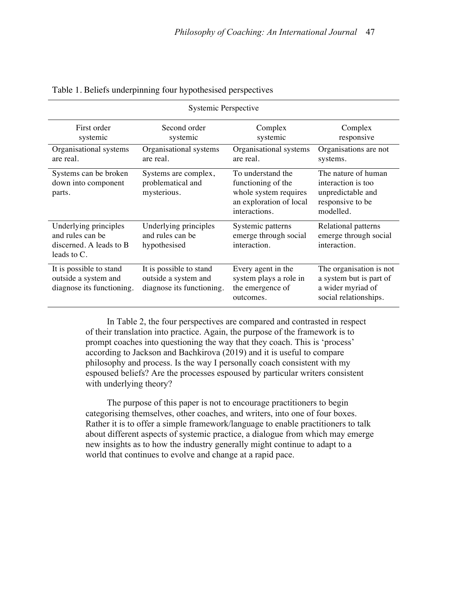| Systemic Perspective                                                                |                                                                              |                                                                                                              |                                                                                                  |  |
|-------------------------------------------------------------------------------------|------------------------------------------------------------------------------|--------------------------------------------------------------------------------------------------------------|--------------------------------------------------------------------------------------------------|--|
| First order<br>systemic                                                             | Second order<br>systemic                                                     | Complex<br>systemic                                                                                          | Complex<br>responsive                                                                            |  |
| Organisational systems<br>are real.                                                 | Organisational systems<br>are real.                                          | Organisational systems<br>are real.                                                                          | Organisations are not<br>systems.                                                                |  |
| Systems can be broken<br>down into component<br>parts.                              | Systems are complex,<br>problematical and<br>mysterious.                     | To understand the<br>functioning of the<br>whole system requires<br>an exploration of local<br>interactions. | The nature of human<br>interaction is too<br>unpredictable and<br>responsive to be<br>modelled.  |  |
| Underlying principles<br>and rules can be<br>discerned. A leads to B<br>leads to C. | Underlying principles<br>and rules can be<br>hypothesised                    | Systemic patterns<br>emerge through social<br>interaction.                                                   | Relational patterns<br>emerge through social<br>interaction.                                     |  |
| It is possible to stand<br>outside a system and<br>diagnose its functioning.        | It is possible to stand<br>outside a system and<br>diagnose its functioning. | Every agent in the<br>system plays a role in<br>the emergence of<br>outcomes.                                | The organisation is not<br>a system but is part of<br>a wider myriad of<br>social relationships. |  |

#### Table 1. Beliefs underpinning four hypothesised perspectives

In Table 2, the four perspectives are compared and contrasted in respect of their translation into practice. Again, the purpose of the framework is to prompt coaches into questioning the way that they coach. This is 'process' according to Jackson and Bachkirova (2019) and it is useful to compare philosophy and process. Is the way I personally coach consistent with my espoused beliefs? Are the processes espoused by particular writers consistent with underlying theory?

The purpose of this paper is not to encourage practitioners to begin categorising themselves, other coaches, and writers, into one of four boxes. Rather it is to offer a simple framework/language to enable practitioners to talk about different aspects of systemic practice, a dialogue from which may emerge new insights as to how the industry generally might continue to adapt to a world that continues to evolve and change at a rapid pace.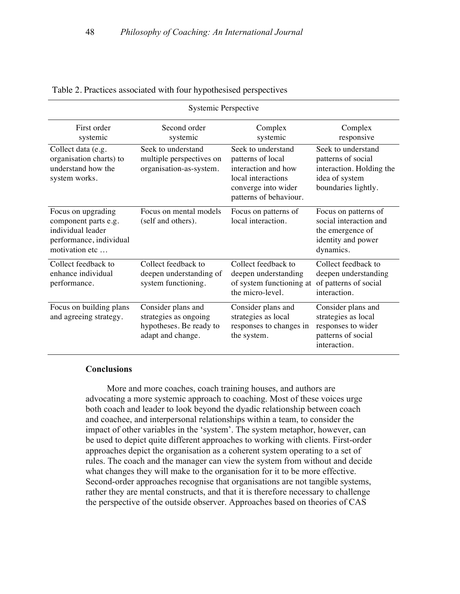| Systemic Perspective                                                                                         |                                                                                             |                                                                                                                                       |                                                                                                               |  |
|--------------------------------------------------------------------------------------------------------------|---------------------------------------------------------------------------------------------|---------------------------------------------------------------------------------------------------------------------------------------|---------------------------------------------------------------------------------------------------------------|--|
| First order<br>systemic                                                                                      | Second order<br>systemic                                                                    | Complex<br>systemic                                                                                                                   | Complex<br>responsive                                                                                         |  |
| Collect data (e.g.<br>organisation charts) to<br>understand how the<br>system works.                         | Seek to understand<br>multiple perspectives on<br>organisation-as-system.                   | Seek to understand<br>patterns of local<br>interaction and how<br>local interactions<br>converge into wider<br>patterns of behaviour. | Seek to understand<br>patterns of social<br>interaction. Holding the<br>idea of system<br>boundaries lightly. |  |
| Focus on upgrading<br>component parts e.g.<br>individual leader<br>performance, individual<br>motivation etc | Focus on mental models<br>(self and others).                                                | Focus on patterns of<br>local interaction.                                                                                            | Focus on patterns of<br>social interaction and<br>the emergence of<br>identity and power<br>dynamics.         |  |
| Collect feedback to<br>enhance individual<br>performance.                                                    | Collect feedback to<br>deepen understanding of<br>system functioning.                       | Collect feedback to<br>deepen understanding<br>of system functioning at<br>the micro-level.                                           | Collect feedback to<br>deepen understanding<br>of patterns of social<br>interaction.                          |  |
| Focus on building plans<br>and agreeing strategy.                                                            | Consider plans and<br>strategies as ongoing<br>hypotheses. Be ready to<br>adapt and change. | Consider plans and<br>strategies as local<br>responses to changes in<br>the system.                                                   | Consider plans and<br>strategies as local<br>responses to wider<br>patterns of social<br>interaction.         |  |

#### Table 2. Practices associated with four hypothesised perspectives

# **Conclusions**

More and more coaches, coach training houses, and authors are advocating a more systemic approach to coaching. Most of these voices urge both coach and leader to look beyond the dyadic relationship between coach and coachee, and interpersonal relationships within a team, to consider the impact of other variables in the 'system'. The system metaphor, however, can be used to depict quite different approaches to working with clients. First-order approaches depict the organisation as a coherent system operating to a set of rules. The coach and the manager can view the system from without and decide what changes they will make to the organisation for it to be more effective. Second-order approaches recognise that organisations are not tangible systems, rather they are mental constructs, and that it is therefore necessary to challenge the perspective of the outside observer. Approaches based on theories of CAS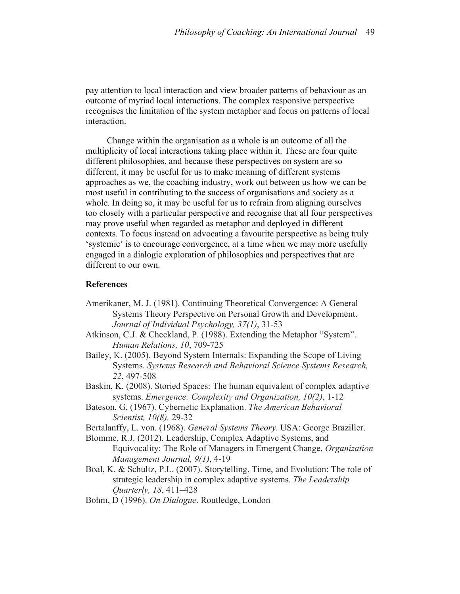pay attention to local interaction and view broader patterns of behaviour as an outcome of myriad local interactions. The complex responsive perspective recognises the limitation of the system metaphor and focus on patterns of local interaction.

Change within the organisation as a whole is an outcome of all the multiplicity of local interactions taking place within it. These are four quite different philosophies, and because these perspectives on system are so different, it may be useful for us to make meaning of different systems approaches as we, the coaching industry, work out between us how we can be most useful in contributing to the success of organisations and society as a whole. In doing so, it may be useful for us to refrain from aligning ourselves too closely with a particular perspective and recognise that all four perspectives may prove useful when regarded as metaphor and deployed in different contexts. To focus instead on advocating a favourite perspective as being truly 'systemic' is to encourage convergence, at a time when we may more usefully engaged in a dialogic exploration of philosophies and perspectives that are different to our own.

## **References**

- Amerikaner, M. J. (1981). Continuing Theoretical Convergence: A General Systems Theory Perspective on Personal Growth and Development. *Journal of Individual Psychology, 37(1)*, 31-53
- Atkinson, C.J. & Checkland, P. (1988). Extending the Metaphor "System". *Human Relations, 10*, 709-725
- Bailey, K. (2005). Beyond System Internals: Expanding the Scope of Living Systems. *Systems Research and Behavioral Science Systems Research, 22*, 497-508
- Baskin, K. (2008). Storied Spaces: The human equivalent of complex adaptive systems. *Emergence: Complexity and Organization, 10(2)*, 1-12
- Bateson, G. (1967). Cybernetic Explanation. *The American Behavioral Scientist, 10(8),* 29-32
- Bertalanffy, L. von. (1968). *General Systems Theory*. USA: George Braziller.
- Blomme, R.J. (2012). Leadership, Complex Adaptive Systems, and Equivocality: The Role of Managers in Emergent Change, *Organization Management Journal, 9(1)*, 4-19
- Boal, K. & Schultz, P.L. (2007). Storytelling, Time, and Evolution: The role of strategic leadership in complex adaptive systems. *The Leadership Quarterly, 18*, 411–428
- Bohm, D (1996). *On Dialogue*. Routledge, London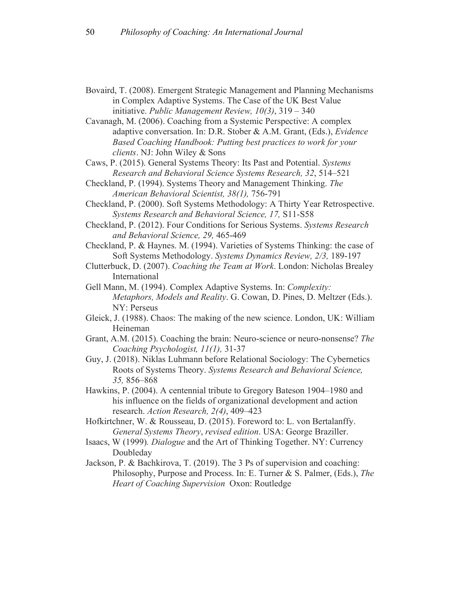- Bovaird, T. (2008). Emergent Strategic Management and Planning Mechanisms in Complex Adaptive Systems. The Case of the UK Best Value initiative. *Public Management Review, 10(3)*, 319 – 340
- Cavanagh, M. (2006). Coaching from a Systemic Perspective: A complex adaptive conversation. In: D.R. Stober & A.M. Grant, (Eds.), *Evidence Based Coaching Handbook: Putting best practices to work for your clients*. NJ: John Wiley & Sons
- Caws, P. (2015). General Systems Theory: Its Past and Potential. *Systems Research and Behavioral Science Systems Research, 32*, 514–521
- Checkland, P. (1994). Systems Theory and Management Thinking. *The American Behavioral Scientist, 38(1),* 756-791
- Checkland, P. (2000). Soft Systems Methodology: A Thirty Year Retrospective. *Systems Research and Behavioral Science, 17,* S11-S58
- Checkland, P. (2012). Four Conditions for Serious Systems. *Systems Research and Behavioral Science, 29,* 465-469
- Checkland, P. & Haynes. M. (1994). Varieties of Systems Thinking: the case of Soft Systems Methodology. *Systems Dynamics Review, 2/3,* 189-197
- Clutterbuck, D. (2007). *Coaching the Team at Work*. London: Nicholas Brealey International
- Gell Mann, M. (1994). Complex Adaptive Systems. In: *Complexity: Metaphors, Models and Reality*. G. Cowan, D. Pines, D. Meltzer (Eds.). NY: Perseus
- Gleick, J. (1988). Chaos: The making of the new science. London, UK: William Heineman
- Grant, A.M. (2015). Coaching the brain: Neuro-science or neuro-nonsense? *The Coaching Psychologist, 11(1),* 31-37
- Guy, J. (2018). Niklas Luhmann before Relational Sociology: The Cybernetics Roots of Systems Theory. *Systems Research and Behavioral Science, 35,* 856–868
- Hawkins, P. (2004). A centennial tribute to Gregory Bateson 1904–1980 and his influence on the fields of organizational development and action research. *Action Research, 2(4)*, 409–423
- Hofkirtchner, W. & Rousseau, D. (2015). Foreword to: L. von Bertalanffy. *General Systems Theory*, *revised edition*. USA: George Braziller.
- Isaacs, W (1999)*. Dialogue* and the Art of Thinking Together. NY: Currency Doubleday
- Jackson, P. & Bachkirova, T. (2019). The 3 Ps of supervision and coaching: Philosophy, Purpose and Process. In: E. Turner & S. Palmer, (Eds.), *The Heart of Coaching Supervision* Oxon: Routledge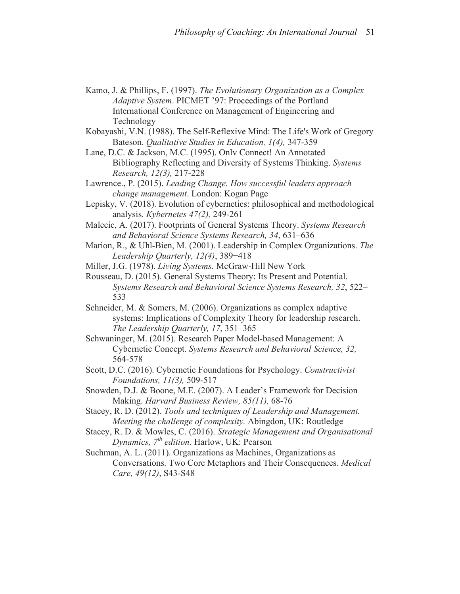Kamo, J. & Phillips, F. (1997). *The Evolutionary Organization as a Complex Adaptive System*. PICMET '97: Proceedings of the Portland International Conference on Management of Engineering and Technology

Kobayashi, V.N. (1988). The Self-Reflexive Mind: The Life's Work of Gregory Bateson. *Qualitative Studies in Education, 1(4),* 347-359

Lane, D.C. & Jackson, M.C. (1995). Onlv Connect! An Annotated Bibliography Reflecting and Diversity of Systems Thinking. *Systems Research, 12(3),* 217-228

Lawrence., P. (2015). *Leading Change. How successful leaders approach change management*. London: Kogan Page

- Lepisky, V. (2018). Evolution of cybernetics: philosophical and methodological analysis. *Kybernetes 47(2),* 249-261
- Malecic, A. (2017). Footprints of General Systems Theory. *Systems Research and Behavioral Science Systems Research, 34*, 631–636
- Marion, R., & Uhl-Bien, M. (2001). Leadership in Complex Organizations. *The Leadership Quarterly, 12(4)*, 389−418

Miller, J.G. (1978). *Living Systems.* McGraw-Hill New York

- Rousseau, D. (2015). General Systems Theory: Its Present and Potential. *Systems Research and Behavioral Science Systems Research, 32*, 522– 533
- Schneider, M. & Somers, M. (2006). Organizations as complex adaptive systems: Implications of Complexity Theory for leadership research. *The Leadership Quarterly, 17*, 351–365
- Schwaninger, M. (2015). Research Paper Model-based Management: A Cybernetic Concept. *Systems Research and Behavioral Science, 32,*  564-578
- Scott, D.C. (2016). Cybernetic Foundations for Psychology. *Constructivist Foundations, 11(3),* 509-517
- Snowden, D.J. & Boone, M.E. (2007). A Leader's Framework for Decision Making. *Harvard Business Review, 85(11),* 68-76
- Stacey, R. D. (2012). *Tools and techniques of Leadership and Management. Meeting the challenge of complexity.* Abingdon, UK: Routledge
- Stacey, R. D. & Mowles, C. (2016). *Strategic Management and Organisational Dynamics, 7th edition.* Harlow, UK: Pearson

Suchman, A. L. (2011). Organizations as Machines, Organizations as Conversations. Two Core Metaphors and Their Consequences. *Medical Care, 49(12)*, S43-S48